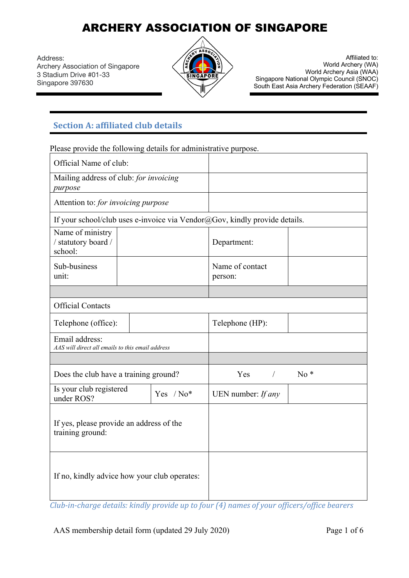Address: Archery Association of Singapore 3 Stadium Drive #01-33 Singapore 397630



Affiliated to: World Archery (WA) World Archery Asia (WAA) Singapore National Olympic Council (SNOC) South East Asia Archery Federation (SEAAF)

### **Section A: affiliated club details**

Please provide the following details for administrative purpose.

| Official Name of club:                                                     |  |                            |                 |  |  |
|----------------------------------------------------------------------------|--|----------------------------|-----------------|--|--|
| Mailing address of club: for invoicing<br>purpose                          |  |                            |                 |  |  |
| Attention to: for invoicing purpose                                        |  |                            |                 |  |  |
| If your school/club uses e-invoice via Vendor@Gov, kindly provide details. |  |                            |                 |  |  |
| Name of ministry<br>/ statutory board /<br>school:                         |  | Department:                |                 |  |  |
| Sub-business<br>unit:                                                      |  | Name of contact<br>person: |                 |  |  |
|                                                                            |  |                            |                 |  |  |
| <b>Official Contacts</b>                                                   |  |                            |                 |  |  |
| Telephone (office):                                                        |  |                            | Telephone (HP): |  |  |
| Email address:<br>AAS will direct all emails to this email address         |  |                            |                 |  |  |
|                                                                            |  |                            |                 |  |  |
| Does the club have a training ground?                                      |  | Yes<br>$\sqrt{2}$          | $No*$           |  |  |
| Is your club registered<br>Yes $/ No*$<br>under ROS?                       |  | UEN number: If any         |                 |  |  |
| If yes, please provide an address of the<br>training ground:               |  |                            |                 |  |  |
| If no, kindly advice how your club operates:                               |  |                            |                 |  |  |

*Club-in-charge details: kindly provide up to four (4) names of your officers/office bearers* 

AAS membership detail form (updated 29 July 2020) Page 1 of 6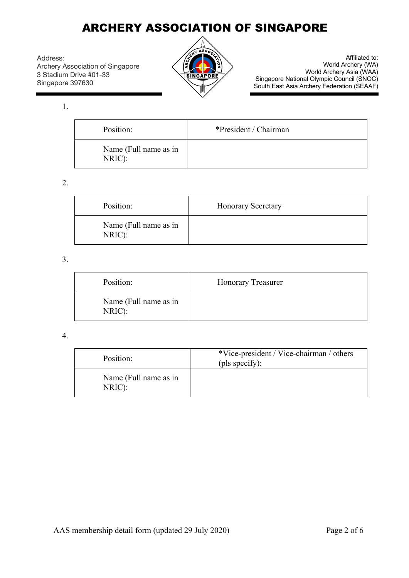Address: Archery Association of Singapore 3 Stadium Drive #01-33 Singapore 397630



Affiliated to: World Archery (WA) World Archery Asia (WAA) Singapore National Olympic Council (SNOC) South East Asia Archery Federation (SEAAF)

1.

| Position:                       | *President / Chairman |
|---------------------------------|-----------------------|
| Name (Full name as in<br>NRIC): |                       |

#### 2.

| Position:                       | <b>Honorary Secretary</b> |
|---------------------------------|---------------------------|
| Name (Full name as in<br>NRIC): |                           |

#### 3.

| Position:                       | <b>Honorary Treasurer</b> |
|---------------------------------|---------------------------|
| Name (Full name as in<br>NRIC): |                           |

#### 4.

| Position:                       | *Vice-president / Vice-chairman / others<br>(pls specify): |
|---------------------------------|------------------------------------------------------------|
| Name (Full name as in<br>NRIC): |                                                            |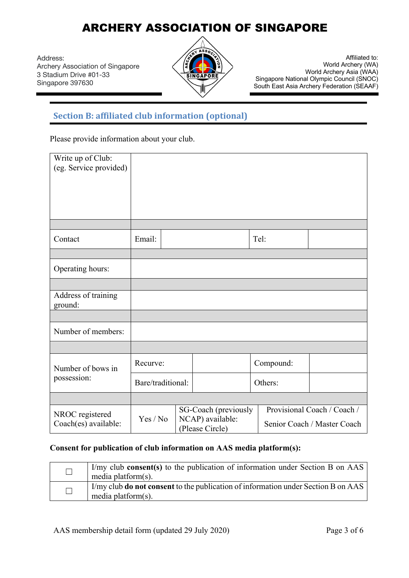Address: Archery Association of Singapore 3 Stadium Drive #01-33 Singapore 397630



Affiliated to: World Archery (WA) World Archery Asia (WAA) Singapore National Olympic Council (SNOC) South East Asia Archery Federation (SEAAF)

### **Section B: affiliated club information (optional)**

Please provide information about your club.

| Write up of Club:<br>(eg. Service provided) |                   |  |                                                                                                                           |  |           |  |
|---------------------------------------------|-------------------|--|---------------------------------------------------------------------------------------------------------------------------|--|-----------|--|
| Contact                                     | Email:            |  |                                                                                                                           |  | Tel:      |  |
| Operating hours:                            |                   |  |                                                                                                                           |  |           |  |
| Address of training<br>ground:              |                   |  |                                                                                                                           |  |           |  |
| Number of members:                          |                   |  |                                                                                                                           |  |           |  |
|                                             |                   |  |                                                                                                                           |  |           |  |
| Number of bows in                           | Recurve:          |  |                                                                                                                           |  | Compound: |  |
| possession:                                 | Bare/traditional: |  |                                                                                                                           |  | Others:   |  |
|                                             |                   |  |                                                                                                                           |  |           |  |
| NROC registered<br>Coach(es) available:     | Yes / No          |  | Provisional Coach / Coach /<br>SG-Coach (previously<br>NCAP) available:<br>Senior Coach / Master Coach<br>(Please Circle) |  |           |  |

#### **Consent for publication of club information on AAS media platform(s):**

| I'my club consent(s) to the publication of information under Section B on AAS<br>media platform(s).         |
|-------------------------------------------------------------------------------------------------------------|
| I/my club do not consent to the publication of information under Section B on AAS<br>media platform $(s)$ . |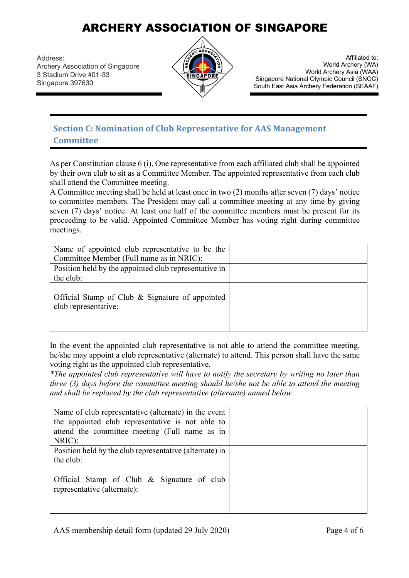Address: Archery Association of Singapore 3 Stadium Drive #01-33 Singapore 397630



Affiliated to: World Archery (WA) World Archery Asia (WAA) Singapore National Olympic Council (SNOC) South East Asia Archery Federation (SEAAF)

### **Section C: Nomination of Club Representative for AAS Management Committee**

As per Constitution clause  $6$  (i), One representative from each affiliated club shall be appointed by their own club to sit as a Committee Member. The appointed representative from each club shall attend the Committee meeting.

A Committee meeting shall be held at least once in two (2) months after seven (7) days' notice to committee members. The President may call a committee meeting at any time by giving seven (7) days' notice. At least one half of the committee members must be present for its proceeding to be valid. Appointed Committee Member has voting right during committee meetings.

| Name of appointed club representative to be the<br>Committee Member (Full name as in NRIC): |  |
|---------------------------------------------------------------------------------------------|--|
| Position held by the appointed club representative in                                       |  |
| the club:                                                                                   |  |
| Official Stamp of Club & Signature of appointed<br>club representative:                     |  |

In the event the appointed club representative is not able to attend the committee meeting, he/she may appoint a club representative (alternate) to attend. This person shall have the same voting right as the appointed club representative.

*\*The appointed club representative will have to notify the secretary by writing no later than three (3) days before the committee meeting should he/she not be able to attend the meeting and shall be replaced by the club representative (alternate) named below.*

| Name of club representative (alternate) in the event                      |  |
|---------------------------------------------------------------------------|--|
| the appointed club representative is not able to                          |  |
| attend the committee meeting (Full name as in                             |  |
| NRIC):                                                                    |  |
| Position held by the club representative (alternate) in                   |  |
| the club:                                                                 |  |
| Official Stamp of Club & Signature of club<br>representative (alternate): |  |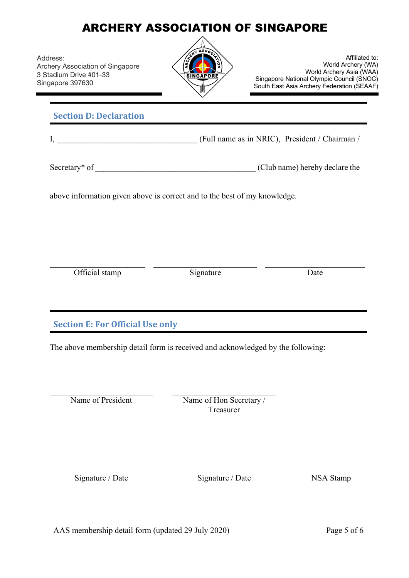Address: Archery Association of Singapore 3 Stadium Drive #01-33 Singapore 397630



Affiliated to: World Archery (WA) World Archery Asia (WAA) Singapore National Olympic Council (SNOC) South East Asia Archery Federation (SEAAF)

### **Section D: Declaration**

I, The Internal Community (Full name as in NRIC), President / Chairman /

Secretary\* of \_\_\_\_\_\_\_\_\_\_\_\_\_\_\_\_\_\_\_\_\_\_\_\_\_\_\_\_\_\_\_\_\_\_\_\_\_\_\_ (Club name) hereby declare the

above information given above is correct and to the best of my knowledge.

Official stamp Signature Date

**Section E: For Official Use only** 

The above membership detail form is received and acknowledged by the following:

Name of President Name of Hon Secretary / Treasurer

Signature / Date Signature / Date NSA Stamp

AAS membership detail form (updated 29 July 2020) Page 5 of 6